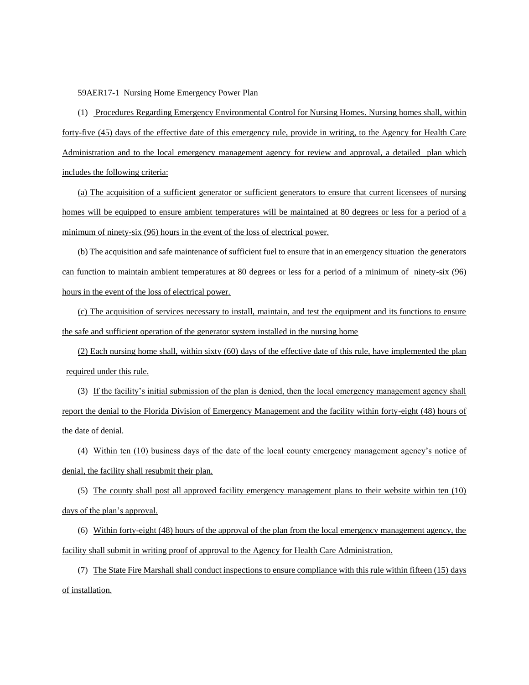59AER17-1 Nursing Home Emergency Power Plan

(1) Procedures Regarding Emergency Environmental Control for Nursing Homes. Nursing homes shall, within forty-five (45) days of the effective date of this emergency rule, provide in writing, to the Agency for Health Care Administration and to the local emergency management agency for review and approval, a detailed plan which includes the following criteria:

(a) The acquisition of a sufficient generator or sufficient generators to ensure that current licensees of nursing homes will be equipped to ensure ambient temperatures will be maintained at 80 degrees or less for a period of a minimum of ninety-six (96) hours in the event of the loss of electrical power.

(b) The acquisition and safe maintenance of sufficient fuel to ensure that in an emergency situation the generators can function to maintain ambient temperatures at 80 degrees or less for a period of a minimum of ninety-six (96) hours in the event of the loss of electrical power.

(c) The acquisition of services necessary to install, maintain, and test the equipment and its functions to ensure the safe and sufficient operation of the generator system installed in the nursing home

(2) Each nursing home shall, within sixty (60) days of the effective date of this rule, have implemented the plan required under this rule.

(3) If the facility's initial submission of the plan is denied, then the local emergency management agency shall report the denial to the Florida Division of Emergency Management and the facility within forty-eight (48) hours of the date of denial.

(4) Within ten (10) business days of the date of the local county emergency management agency's notice of denial, the facility shall resubmit their plan.

(5) The county shall post all approved facility emergency management plans to their website within ten (10) days of the plan's approval.

(6) Within forty-eight (48) hours of the approval of the plan from the local emergency management agency, the facility shall submit in writing proof of approval to the Agency for Health Care Administration.

(7) The State Fire Marshall shall conduct inspections to ensure compliance with this rule within fifteen (15) days of installation.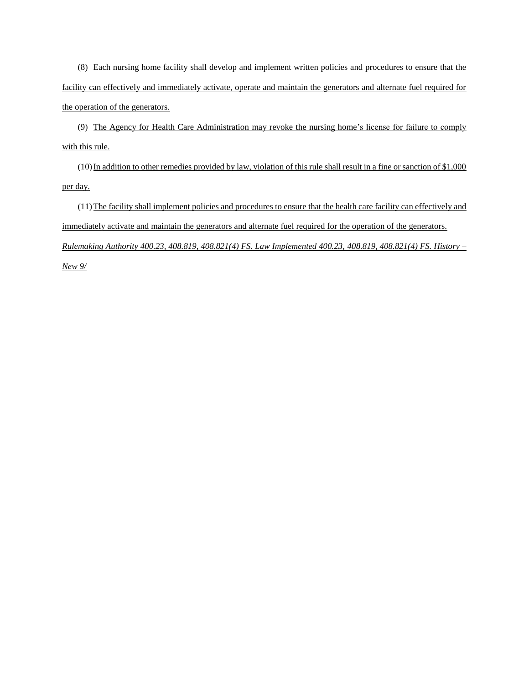(8) Each nursing home facility shall develop and implement written policies and procedures to ensure that the facility can effectively and immediately activate, operate and maintain the generators and alternate fuel required for the operation of the generators.

(9) The Agency for Health Care Administration may revoke the nursing home's license for failure to comply with this rule.

 $(10)$  In addition to other remedies provided by law, violation of this rule shall result in a fine or sanction of \$1,000 per day.

(11)The facility shall implement policies and procedures to ensure that the health care facility can effectively and immediately activate and maintain the generators and alternate fuel required for the operation of the generators. *Rulemaking Authority 400.23, 408.819, 408.821(4) FS. Law Implemented 400.23, 408.819, 408.821(4) FS. History –*

*New 9/*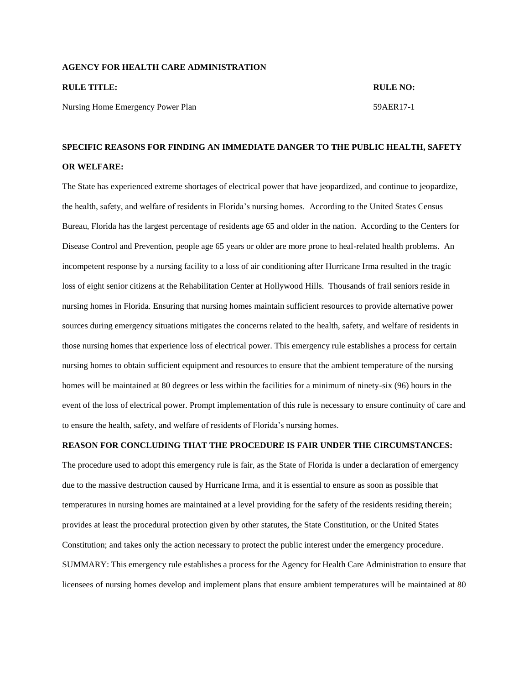## **AGENCY FOR HEALTH CARE ADMINISTRATION**

| <b>RULE TITLE:</b>                | <b>RULE NO:</b> |
|-----------------------------------|-----------------|
| Nursing Home Emergency Power Plan | 59AER17-1       |

## **SPECIFIC REASONS FOR FINDING AN IMMEDIATE DANGER TO THE PUBLIC HEALTH, SAFETY OR WELFARE:**

The State has experienced extreme shortages of electrical power that have jeopardized, and continue to jeopardize, the health, safety, and welfare of residents in Florida's nursing homes. According to the United States Census Bureau, Florida has the largest percentage of residents age 65 and older in the nation. According to the Centers for Disease Control and Prevention, people age 65 years or older are more prone to heal-related health problems. An incompetent response by a nursing facility to a loss of air conditioning after Hurricane Irma resulted in the tragic loss of eight senior citizens at the Rehabilitation Center at Hollywood Hills. Thousands of frail seniors reside in nursing homes in Florida. Ensuring that nursing homes maintain sufficient resources to provide alternative power sources during emergency situations mitigates the concerns related to the health, safety, and welfare of residents in those nursing homes that experience loss of electrical power. This emergency rule establishes a process for certain nursing homes to obtain sufficient equipment and resources to ensure that the ambient temperature of the nursing homes will be maintained at 80 degrees or less within the facilities for a minimum of ninety-six (96) hours in the event of the loss of electrical power. Prompt implementation of this rule is necessary to ensure continuity of care and to ensure the health, safety, and welfare of residents of Florida's nursing homes.

## **REASON FOR CONCLUDING THAT THE PROCEDURE IS FAIR UNDER THE CIRCUMSTANCES:**

The procedure used to adopt this emergency rule is fair, as the State of Florida is under a declaration of emergency due to the massive destruction caused by Hurricane Irma, and it is essential to ensure as soon as possible that temperatures in nursing homes are maintained at a level providing for the safety of the residents residing therein; provides at least the procedural protection given by other statutes, the State Constitution, or the United States Constitution; and takes only the action necessary to protect the public interest under the emergency procedure. SUMMARY: This emergency rule establishes a process for the Agency for Health Care Administration to ensure that licensees of nursing homes develop and implement plans that ensure ambient temperatures will be maintained at 80